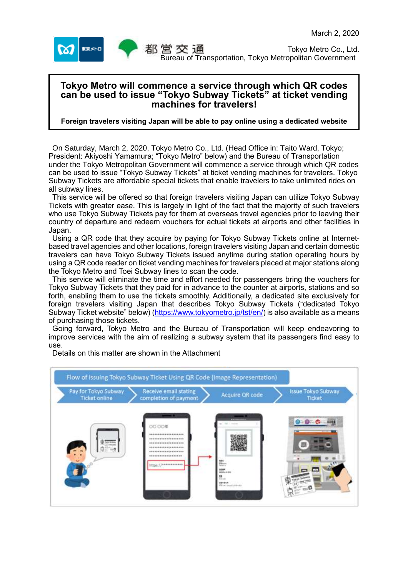

# **Tokyo Metro will commence a service through which QR codes can be used to issue "Tokyo Subway Tickets" at ticket vending machines for travelers!**

### **Foreign travelers visiting Japan will be able to pay online using a dedicated website**

On Saturday, March 2, 2020, Tokyo Metro Co., Ltd. (Head Office in: Taito Ward, Tokyo; President: Akiyoshi Yamamura; "Tokyo Metro" below) and the Bureau of Transportation under the Tokyo Metropolitan Government will commence a service through which QR codes can be used to issue "Tokyo Subway Tickets" at ticket vending machines for travelers. Tokyo Subway Tickets are affordable special tickets that enable travelers to take unlimited rides on all subway lines.

This service will be offered so that foreign travelers visiting Japan can utilize Tokyo Subway Tickets with greater ease. This is largely in light of the fact that the majority of such travelers who use Tokyo Subway Tickets pay for them at overseas travel agencies prior to leaving their country of departure and redeem vouchers for actual tickets at airports and other facilities in Japan.

Using a QR code that they acquire by paying for Tokyo Subway Tickets online at Internetbased travel agencies and other locations, foreign travelers visiting Japan and certain domestic travelers can have Tokyo Subway Tickets issued anytime during station operating hours by using a QR code reader on ticket vending machines for travelers placed at major stations along the Tokyo Metro and Toei Subway lines to scan the code.

This service will eliminate the time and effort needed for passengers bring the vouchers for Tokyo Subway Tickets that they paid for in advance to the counter at airports, stations and so forth, enabling them to use the tickets smoothly. Additionally, a dedicated site exclusively for foreign travelers visiting Japan that describes Tokyo Subway Tickets ("dedicated Tokyo Subway Ticket website" below) [\(https://www.tokyometro.jp/tst/en/\)](https://www.tokyometro.jp/tst/en/) is also available as a means of purchasing those tickets.

Going forward, Tokyo Metro and the Bureau of Transportation will keep endeavoring to improve services with the aim of realizing a subway system that its passengers find easy to use.

Flow of Issuing Tokyo Subway Ticket Using QR Code (Image Representation) Receive email stating<br>completion of payment Pay for Tokyo Subway<br>Ticket online Issue Tokyo Subway Acquire QR code Ticket 0.00# .............. ................... ................... .................. -------------\*\*\*\*\*\*\*\*\*\*\*\*\*\* **GALLANDIAN** 

Details on this matter are shown in the Attachment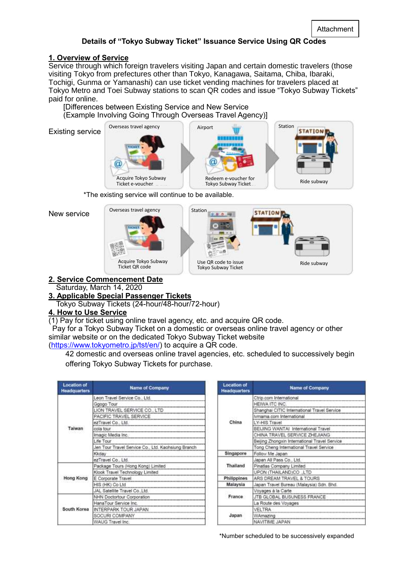## **Details of "Tokyo Subway Ticket" Issuance Service Using QR Codes**

## **1. Overview of Service**

Service through which foreign travelers visiting Japan and certain domestic travelers (those visiting Tokyo from prefectures other than Tokyo, Kanagawa, Saitama, Chiba, Ibaraki, Tochigi, Gunma or Yamanashi) can use ticket vending machines for travelers placed at Tokyo Metro and Toei Subway stations to scan QR codes and issue "Tokyo Subway Tickets" paid for online.

[Differences between Existing Service and New Service (Example Involving Going Through Overseas Travel Agency)]

Existing service





\*The existing service will continue to be available.

New service



**2. Service Commencement Date** Saturday, March 14, 2020

## **3. Applicable Special Passenger Tickets**

Tokyo Subway Tickets (24-hour/48-hour/72-hour)

## **4. How to Use Service**

(1) Pay for ticket using online travel agency, etc. and acquire QR code.

Pay for a Tokyo Subway Ticket on a domestic or overseas online travel agency or other similar website or on the dedicated Tokyo Subway Ticket website

[\(https://www.tokyometro.jp/tst/en/\)](https://www.tokyometro.jp/tst/en/) to acquire a QR code.

42 domestic and overseas online travel agencies, etc. scheduled to successively begin offering Tokyo Subway Tickets for purchase.

| <b>Location of</b><br><b>Headquarters</b> | <b>Name of Company</b>                             |  |  |  |  |  |  |  |
|-------------------------------------------|----------------------------------------------------|--|--|--|--|--|--|--|
|                                           | Leon Travel Service Co., Ltd.                      |  |  |  |  |  |  |  |
|                                           | Ggogo Tour                                         |  |  |  |  |  |  |  |
|                                           | LION TRAVEL SERVICE CO., LTD                       |  |  |  |  |  |  |  |
|                                           | PACIFIC TRAVEL SERVICE                             |  |  |  |  |  |  |  |
|                                           | ezTravel Co., Ltd.                                 |  |  |  |  |  |  |  |
| Taiwan                                    | cola tour                                          |  |  |  |  |  |  |  |
|                                           | Imagic Media Inc.                                  |  |  |  |  |  |  |  |
|                                           | Life Tour                                          |  |  |  |  |  |  |  |
|                                           | Jen Tour Travel Service Co., Ltd. Kaohsiung Branch |  |  |  |  |  |  |  |
|                                           | Kkdav                                              |  |  |  |  |  |  |  |
|                                           | ezTravel Co., Ltd.                                 |  |  |  |  |  |  |  |
|                                           | Package Tours (Hong Kong) Limited                  |  |  |  |  |  |  |  |
|                                           | Klook Travel Technology Limited                    |  |  |  |  |  |  |  |
| Hong Kong                                 | E Corporate Travel                                 |  |  |  |  |  |  |  |
|                                           | HIS (HK) Co Ltd                                    |  |  |  |  |  |  |  |
|                                           | JAL Satellite Travel Co., Ltd.                     |  |  |  |  |  |  |  |
|                                           | NHN Doctortour Corporation                         |  |  |  |  |  |  |  |
|                                           | HanaTour Service Inc.                              |  |  |  |  |  |  |  |
| South Korea                               | INTERPARK TOUR JAPAN                               |  |  |  |  |  |  |  |
|                                           | SOCURI COMPANY                                     |  |  |  |  |  |  |  |
|                                           | WAUG Travel Inc.                                   |  |  |  |  |  |  |  |

| <b>Location of</b><br><b>Headquarters</b> | <b>Name of Company</b>                        |  |  |  |  |  |  |
|-------------------------------------------|-----------------------------------------------|--|--|--|--|--|--|
| China<br>Singapore<br>Thailand            | Ctrip.com International                       |  |  |  |  |  |  |
|                                           | HEIWA ITC INC.                                |  |  |  |  |  |  |
|                                           | Shanghai CITIC International Travel Service   |  |  |  |  |  |  |
|                                           | Ivmama.com International                      |  |  |  |  |  |  |
|                                           | LY-HIS Travel                                 |  |  |  |  |  |  |
|                                           | BEIJING WANTAI International Travel           |  |  |  |  |  |  |
|                                           | CHINA TRAVEL SERVICE ZHEJIANG                 |  |  |  |  |  |  |
|                                           | Beijing Zhongxin International Travel Service |  |  |  |  |  |  |
|                                           | Tong Cheng International Travel Service       |  |  |  |  |  |  |
|                                           | Follow Me Japan                               |  |  |  |  |  |  |
|                                           | Japan All Pass Co., Ltd.                      |  |  |  |  |  |  |
|                                           | Pinatlas Company Limited                      |  |  |  |  |  |  |
|                                           | UPON (THAILAND)CO LTD                         |  |  |  |  |  |  |
| Philippines                               | ARS DREAM TRAVEL & TOURS                      |  |  |  |  |  |  |
| Malaysia                                  | Japan Travel Bureau (Malaysia) Sdn. Bhd.      |  |  |  |  |  |  |
|                                           | Voyages à la Carte                            |  |  |  |  |  |  |
| France                                    | JTB GLOBAL BUSUNESS FRANCE                    |  |  |  |  |  |  |
|                                           | La Route des Voyages                          |  |  |  |  |  |  |
|                                           | <b>VELTRA</b>                                 |  |  |  |  |  |  |
| Japan                                     | WAmazing                                      |  |  |  |  |  |  |
|                                           | NAVITIME JAPAN                                |  |  |  |  |  |  |

\*Number scheduled to be successively expanded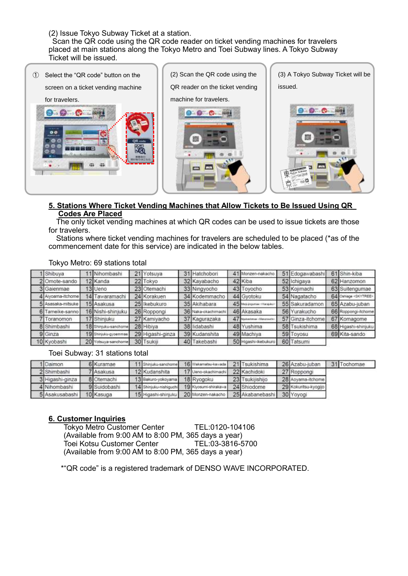(2) Issue Tokyo Subway Ticket at a station.

Scan the QR code using the QR code reader on ticket vending machines for travelers placed at main stations along the Tokyo Metro and Toei Subway lines. A Tokyo Subway Ticket will be issued.



#### **5. Stations Where Ticket Vending Machines that Allow Tickets to Be Issued Using QR Codes Are Placed**

The only ticket vending machines at which QR codes can be used to issue tickets are those for travelers.

Stations where ticket vending machines for travelers are scheduled to be placed (\*as of the commencement date for this service) are indicated in the below tables.

| Shibuya           | Nihombashi                  | 21 Yotsuya       | 31 Hatchobori       |    | 41 Monzen-nakacho         | 51 Edogawabashi  | 61 Shin-kiba                   |
|-------------------|-----------------------------|------------------|---------------------|----|---------------------------|------------------|--------------------------------|
| Omote-sando       | 2 Kanda                     | 22 Tokyo         | 32 Kayabacho        |    | 42 Kiba                   | 52 Ichigaya      | 62 Hanzomon                    |
| 3 Gaienmae        | 3 Ueno                      | 23 Otemachi      | 33 Ningyocho        |    | 43 Toyocho                | 53 Kojimachi     | 63 Suitengumae                 |
| 4 Avoama-itchome  | 14 Tawaramachi              | 24 Korakuen      | 34 Kodemmacho       |    | 44 Gvotoku                | 54 Nagatacho     | 64 Oshiage <skytree></skytree> |
| 5 Asasaka-mitsuke | 15 Asakusa                  | 25 Ikebukuro     | 35 Akihabara        |    | 45 May jogurnar - Hangaur | 55 Sakuradamon   | 65 Azabu-juban                 |
| Tameike-sanno     | 16 Nishi-shinjuku           | 26 Roppongi      | 36 Naka-okachimachi |    | 46 Akasaka                | 56 Yurakucho     | 66 Roppongi-itchome            |
| Toranomon         | 7 Shinjuku                  | 27 Kamiyacho     | 37 Kagurazaka       | 47 | Naturatemen (Manayastra)  | 57 Ginza-itchome | 67 Komagome                    |
| 8 Shimbashi       | <b>Bi</b> Shinjuku-sanchome | 28 Hibiya        | 38 lidabashi        |    | 48 Yushima                | 58 Tsukishima    | 68 Higashi-shinjuku            |
| 9 Ginza           | 19 Shinjuku-gyoemmae        | 29 Higashi-ginza | 39 Kudanshita       |    | 49 Machiva                | 59 Toyosu        | 69 Kita-sando                  |
| 10 Kyobashi       | 20 Yotsuya-sanchome         | 30 Tsukili       | 40 Takebashi        |    | 50 Higashi-ikebukuro      | 60 Tatsumi       |                                |

#### Tokyo Metro: 69 stations total

#### Toei Subway: 31 stations total

| 1 Daimon        | 6 Kuramae    | 11 Shinjuku-sanchome   | 16 Wakamatsu-kawada   | 21 Tsukishima   | 26 Azabu-juban       | 31 Tochomae |
|-----------------|--------------|------------------------|-----------------------|-----------------|----------------------|-------------|
| 2 Shimbashi     | 7 Asakusa    | 12 Kudanshita          | 17 Ueno-okachimachi   | 22 Kachidoki    | 27 Roppongi          |             |
| 3 Higashi-ginza | 8 Otemachi   | 13 Bakuro-yokoyama     | 18 Ryogoku            | 23 Tsukijishijo | 28 Aoyama-itchome    |             |
| 4 Nihombashi    | 9 Suidobashi | 14 Shinjuku-nishiguchi | 19 Klyosumi-shirakawa | 24 Shiodome     | 29 Kokuritsu-kyogijo |             |
| 5 Asakusabashi  | 10 Kasuga    | 15 Higashi-shinjuku    | 20 Monzen-nakacho     | 25 Akabanebashi | 30 Yoyogi            |             |

#### **6. Customer Inquiries**

Tokyo Metro Customer Center TEL:0120-104106 (Available from 9:00 AM to 8:00 PM, 365 days a year) Toei Kotsu Customer Center TEL:03-3816-5700 (Available from 9:00 AM to 8:00 PM, 365 days a year)

\*"QR code" is a registered trademark of DENSO WAVE INCORPORATED.